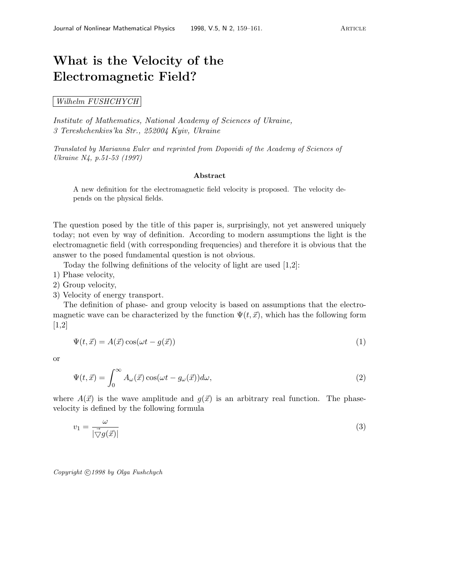## **What is the Velocity of the Electromagnetic Field?**

Wilhelm FUSHCHYCH

Institute of Mathematics, National Academy of Sciences of Ukraine, 3 Tereshchenkivs'ka Str., 252004 Kyiv, Ukraine

Translated by Marianna Euler and reprinted from Dopovidi of the Academy of Sciences of Ukraine N4, p.51-53 (1997)

## **Abstract**

A new definition for the electromagnetic field velocity is proposed. The velocity depends on the physical fields.

The question posed by the title of this paper is, surprisingly, not yet answered uniquely today; not even by way of definition. According to modern assumptions the light is the electromagnetic field (with corresponding frequencies) and therefore it is obvious that the answer to the posed fundamental question is not obvious.

Today the follwing definitions of the velocity of light are used [1,2]:

- 1) Phase velocity,
- 2) Group velocity,
- 3) Velocity of energy transport.

The definition of phase- and group velocity is based on assumptions that the electromagnetic wave can be characterized by the function  $\Psi(t, \vec{x})$ , which has the following form [1,2]

$$
\Psi(t, \vec{x}) = A(\vec{x}) \cos(\omega t - g(\vec{x})) \tag{1}
$$

or

$$
\Psi(t,\vec{x}) = \int_0^\infty A_\omega(\vec{x}) \cos(\omega t - g_\omega(\vec{x})) d\omega,
$$
\n(2)

where  $A(\vec{x})$  is the wave amplitude and  $q(\vec{x})$  is an arbitrary real function. The phasevelocity is defined by the following formula

$$
v_1 = \frac{\omega}{|\vec{\nabla}g(\vec{x})|} \tag{3}
$$

*Copyright*  $\bigcirc$  *1998 by Olga Fushchych*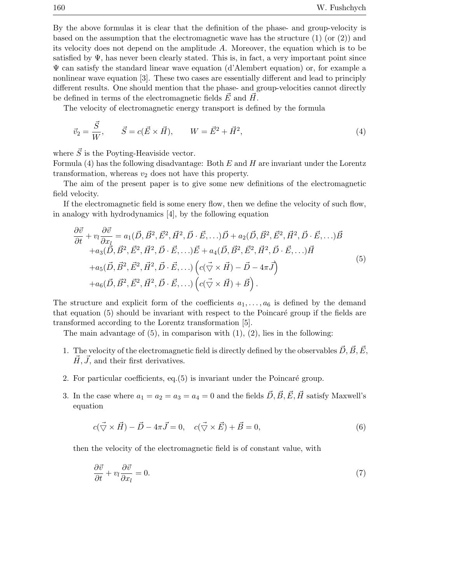By the above formulas it is clear that the definition of the phase- and group-velocity is based on the assumption that the electromagnetic wave has the structure  $(1)$  (or  $(2)$ ) and its velocity does not depend on the amplitude A. Moreover, the equation which is to be satisfied by  $\Psi$ , has never been clearly stated. This is, in fact, a very important point since Ψ can satisfy the standard linear wave equation (d'Alembert equation) or, for example a nonlinear wave equation [3]. These two cases are essentially different and lead to principly different results. One should mention that the phase- and group-velocities cannot directly be defined in terms of the electromagnetic fields  $\vec{E}$  and  $\vec{H}$ .

The velocity of electromagnetic energy transport is defined by the formula

$$
\vec{v}_2 = \frac{\vec{S}}{W}, \qquad \vec{S} = c(\vec{E} \times \vec{H}), \qquad W = \vec{E}^2 + \vec{H}^2,
$$
\n(4)

where  $\vec{S}$  is the Poyting-Heaviside vector.

Formula  $(4)$  has the following disadvantage: Both  $E$  and  $H$  are invariant under the Lorentz transformation, whereas  $v_2$  does not have this property.

The aim of the present paper is to give some new definitions of the electromagnetic field velocity.

If the electromagnetic field is some enery flow, then we define the velocity of such flow, in analogy with hydrodynamics [4], by the following equation

$$
\frac{\partial \vec{v}}{\partial t} + v_l \frac{\partial \vec{v}}{\partial x_l} = a_1(\vec{D}, \vec{B}^2, \vec{E}^2, \vec{H}^2, \vec{D} \cdot \vec{E}, \ldots) \vec{D} + a_2(\vec{D}, \vec{B}^2, \vec{E}^2, \vec{H}^2, \vec{D} \cdot \vec{E}, \ldots) \vec{B} \n+ a_3(\vec{D}, \vec{B}^2, \vec{E}^2, \vec{H}^2, \vec{D} \cdot \vec{E}, \ldots) \vec{E} + a_4(\vec{D}, \vec{B}^2, \vec{E}^2, \vec{H}^2, \vec{D} \cdot \vec{E}, \ldots) \vec{H} \n+ a_5(\vec{D}, \vec{B}^2, \vec{E}^2, \vec{H}^2, \vec{D} \cdot \vec{E}, \ldots) \left( c(\vec{\nabla} \times \vec{H}) - \vec{D} - 4\pi \vec{J} \right) \n+ a_6(\vec{D}, \vec{B}^2, \vec{E}^2, \vec{H}^2, \vec{D} \cdot \vec{E}, \ldots) \left( c(\vec{\nabla} \times \vec{H}) + \vec{B} \right).
$$
\n(5)

The structure and explicit form of the coefficients  $a_1, \ldots, a_6$  is defined by the demand that equation  $(5)$  should be invariant with respect to the Poincaré group if the fields are transformed according to the Lorentz transformation [5].

The main advantage of  $(5)$ , in comparison with  $(1)$ ,  $(2)$ , lies in the following:

- 1. The velocity of the electromagnetic field is directly defined by the observables  $\vec{D}, \vec{B}, \vec{E},$  $\vec{H}, \vec{J}$ , and their first derivatives.
- 2. For particular coefficients, eq. $(5)$  is invariant under the Poincaré group.
- 3. In the case where  $a_1 = a_2 = a_3 = a_4 = 0$  and the fields  $\vec{D}, \vec{B}, \vec{E}, \vec{H}$  satisfy Maxwell's equation

$$
c(\vec{\nabla} \times \vec{H}) - \vec{D} - 4\pi \vec{J} = 0, \quad c(\vec{\nabla} \times \vec{E}) + \vec{B} = 0,
$$
\n(6)

then the velocity of the electromagnetic field is of constant value, with

$$
\frac{\partial \vec{v}}{\partial t} + v_l \frac{\partial \vec{v}}{\partial x_l} = 0. \tag{7}
$$